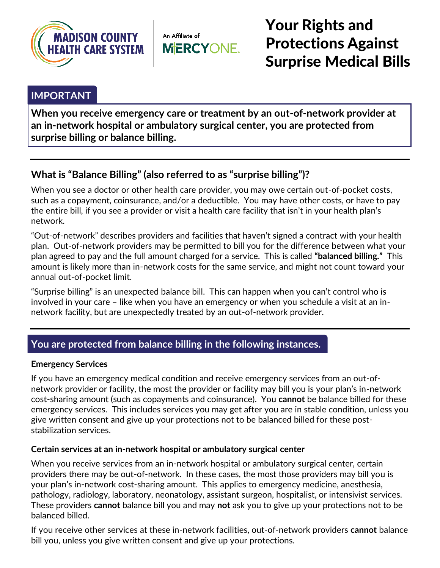

An Affiliate of **MERCYONE.** 

Your Rights and Protections Against Surprise Medical Bills

## **IMPORTANT**

**When you receive emergency care or treatment by an out-of-network provider at an in-network hospital or ambulatory surgical center, you are protected from surprise billing or balance billing.**

# **What is "Balance Billing" (also referred to as "surprise billing")?**

When you see a doctor or other health care provider, you may owe certain out-of-pocket costs, such as a copayment, coinsurance, and/or a deductible. You may have other costs, or have to pay the entire bill, if you see a provider or visit a health care facility that isn't in your health plan's network.

"Out-of-network" describes providers and facilities that haven't signed a contract with your health plan. Out-of-network providers may be permitted to bill you for the difference between what your plan agreed to pay and the full amount charged for a service. This is called **"balanced billing."** This amount is likely more than in-network costs for the same service, and might not count toward your annual out-of-pocket limit.

"Surprise billing" is an unexpected balance bill. This can happen when you can't control who is involved in your care – like when you have an emergency or when you schedule a visit at an innetwork facility, but are unexpectedly treated by an out-of-network provider.

## **You are protected from balance billing in the following instances.**

#### **Emergency Services**

If you have an emergency medical condition and receive emergency services from an out-ofnetwork provider or facility, the most the provider or facility may bill you is your plan's in-network cost-sharing amount (such as copayments and coinsurance). You **cannot** be balance billed for these emergency services. This includes services you may get after you are in stable condition, unless you give written consent and give up your protections not to be balanced billed for these poststabilization services.

#### **Certain services at an in-network hospital or ambulatory surgical center**

When you receive services from an in-network hospital or ambulatory surgical center, certain providers there may be out-of-network. In these cases, the most those providers may bill you is your plan's in-network cost-sharing amount. This applies to emergency medicine, anesthesia, pathology, radiology, laboratory, neonatology, assistant surgeon, hospitalist, or intensivist services. These providers **cannot** balance bill you and may **not** ask you to give up your protections not to be balanced billed.

If you receive other services at these in-network facilities, out-of-network providers **cannot** balance bill you, unless you give written consent and give up your protections.